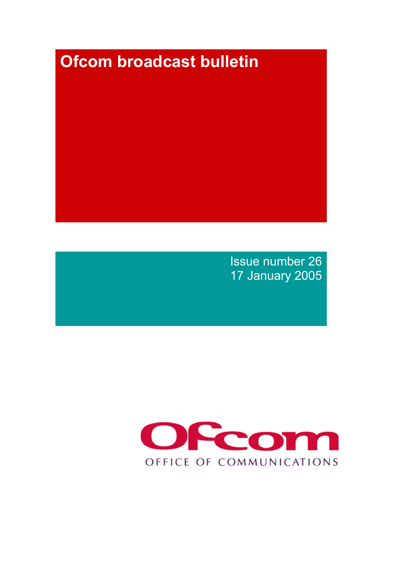# **Ofcom broadcast bulletin**

Issue number 26 17 January 2005

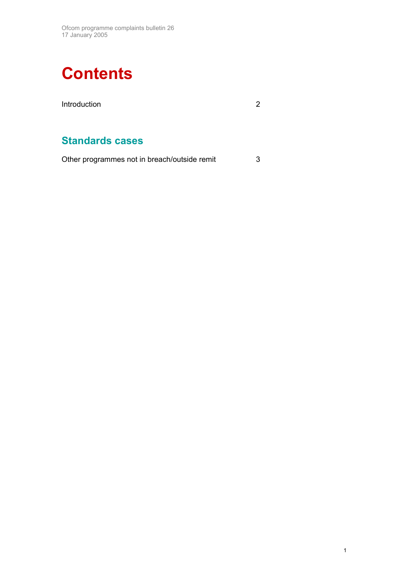

## **Standards cases**

Other programmes not in breach/outside remit 3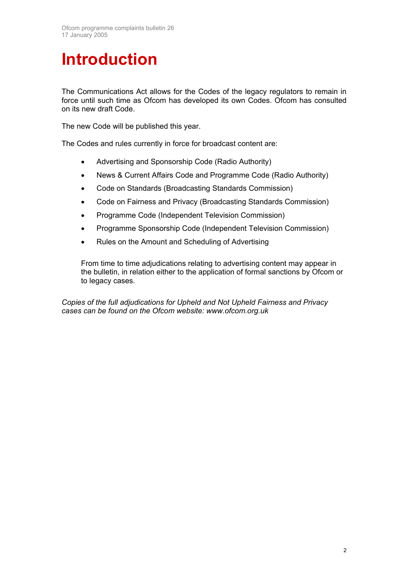## **Introduction**

The Communications Act allows for the Codes of the legacy regulators to remain in force until such time as Ofcom has developed its own Codes. Ofcom has consulted on its new draft Code.

The new Code will be published this year.

The Codes and rules currently in force for broadcast content are:

- Advertising and Sponsorship Code (Radio Authority)
- News & Current Affairs Code and Programme Code (Radio Authority)
- Code on Standards (Broadcasting Standards Commission)
- Code on Fairness and Privacy (Broadcasting Standards Commission)
- Programme Code (Independent Television Commission)
- Programme Sponsorship Code (Independent Television Commission)
- Rules on the Amount and Scheduling of Advertising

From time to time adjudications relating to advertising content may appear in the bulletin, in relation either to the application of formal sanctions by Ofcom or to legacy cases.

*Copies of the full adjudications for Upheld and Not Upheld Fairness and Privacy cases can be found on the Ofcom website: www.ofcom.org.uk*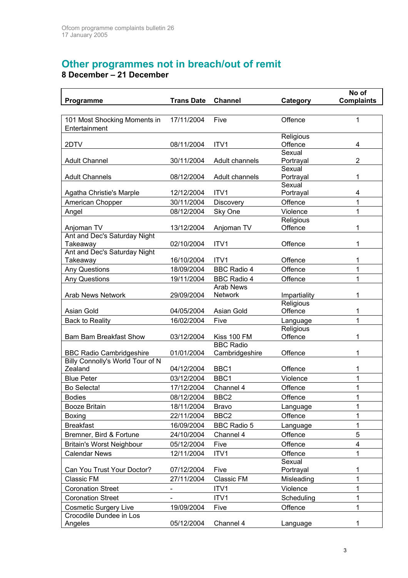### **Other programmes not in breach/out of remit**

**8 December – 21 December** 

 $\mathbf{r}$ 

| Programme                                     | <b>Trans Date</b>        | <b>Channel</b>                     | Category             | No of<br><b>Complaints</b> |
|-----------------------------------------------|--------------------------|------------------------------------|----------------------|----------------------------|
|                                               |                          |                                    |                      |                            |
| 101 Most Shocking Moments in<br>Entertainment | 17/11/2004               | Five                               | Offence              | 1                          |
| 2DTV                                          | 08/11/2004               | ITV1                               | Religious<br>Offence | 4                          |
| <b>Adult Channel</b>                          | 30/11/2004               | Adult channels                     | Sexual<br>Portrayal  | $\overline{2}$             |
| <b>Adult Channels</b>                         | 08/12/2004               | Adult channels                     | Sexual<br>Portrayal  | 1                          |
| Agatha Christie's Marple                      | 12/12/2004               | ITV1                               | Sexual<br>Portrayal  | 4                          |
| American Chopper                              | 30/11/2004               | <b>Discovery</b>                   | Offence              | 1                          |
| Angel                                         | 08/12/2004               | Sky One                            | Violence             | 1                          |
| Anjoman TV                                    | 13/12/2004               | Anjoman TV                         | Religious<br>Offence | 1                          |
| Ant and Dec's Saturday Night<br>Takeaway      | 02/10/2004               | ITV1                               | Offence              | 1                          |
| Ant and Dec's Saturday Night<br>Takeaway      | 16/10/2004               | ITV <sub>1</sub>                   | Offence              | 1                          |
| <b>Any Questions</b>                          | 18/09/2004               | <b>BBC Radio 4</b>                 | Offence              | 1                          |
| <b>Any Questions</b>                          | 19/11/2004               | <b>BBC Radio 4</b>                 | Offence              | 1                          |
| <b>Arab News Network</b>                      | 29/09/2004               | <b>Arab News</b><br><b>Network</b> | Impartiality         | 1                          |
| Asian Gold                                    | 04/05/2004               | Asian Gold                         | Religious<br>Offence | 1                          |
| <b>Back to Reality</b>                        | 16/02/2004               | Five                               | Language             | 1                          |
| <b>Bam Bam Breakfast Show</b>                 | 03/12/2004               | Kiss 100 FM                        | Religious<br>Offence | 1                          |
| <b>BBC Radio Cambridgeshire</b>               | 01/01/2004               | <b>BBC Radio</b><br>Cambridgeshire | Offence              | 1                          |
| Billy Connolly's World Tour of N<br>Zealand   | 04/12/2004               | BBC1                               | Offence              | 1                          |
| <b>Blue Peter</b>                             | 03/12/2004               | BBC1                               | Violence             | 1                          |
| Bo Selecta!                                   | 17/12/2004               | Channel 4                          | Offence              | 1                          |
| <b>Bodies</b>                                 | 08/12/2004               | BBC <sub>2</sub>                   | Offence              | 1                          |
| Booze Britain                                 | 18/11/2004               | <b>Bravo</b>                       | Language             | 1                          |
| <b>Boxing</b>                                 | 22/11/2004               | BBC <sub>2</sub>                   | Offence              | 1                          |
| <b>Breakfast</b>                              | 16/09/2004               | <b>BBC Radio 5</b>                 | Language             | 1                          |
| Bremner, Bird & Fortune                       | 24/10/2004               | Channel 4                          | Offence              | 5                          |
| <b>Britain's Worst Neighbour</b>              | 05/12/2004               | Five                               | Offence              | $\overline{\mathbf{4}}$    |
| <b>Calendar News</b>                          | 12/11/2004               | ITV1                               | Offence              | 1                          |
| Can You Trust Your Doctor?                    | 07/12/2004               | Five                               | Sexual<br>Portrayal  | 1                          |
| Classic FM                                    | 27/11/2004               | <b>Classic FM</b>                  | Misleading           | 1                          |
| <b>Coronation Street</b>                      | $\overline{\phantom{a}}$ | ITV1                               | Violence             | 1                          |
| <b>Coronation Street</b>                      |                          | ITV1                               | Scheduling           | 1                          |
| <b>Cosmetic Surgery Live</b>                  | 19/09/2004               | Five                               | Offence              | 1                          |
| Crocodile Dundee in Los                       |                          |                                    |                      |                            |
| Angeles                                       | 05/12/2004               | Channel 4                          | Language             |                            |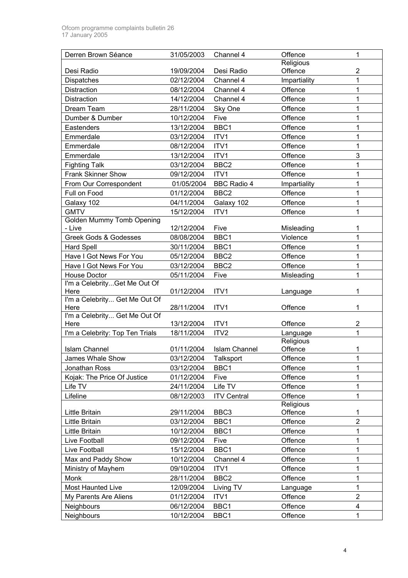| Derren Brown Séance                   | 31/05/2003 | Channel 4            | Offence      | 1              |
|---------------------------------------|------------|----------------------|--------------|----------------|
|                                       |            |                      | Religious    |                |
| Desi Radio                            | 19/09/2004 | Desi Radio           | Offence      | $\overline{2}$ |
| Dispatches                            | 02/12/2004 | Channel 4            | Impartiality | 1              |
| Distraction                           | 08/12/2004 | Channel 4            | Offence      | 1              |
| Distraction                           | 14/12/2004 | Channel 4            | Offence      | 1              |
| Dream Team                            | 28/11/2004 | Sky One              | Offence      | 1              |
| Dumber & Dumber                       | 10/12/2004 | Five                 | Offence      | 1              |
| Eastenders                            | 13/12/2004 | BBC1                 | Offence      | 1              |
| Emmerdale                             | 03/12/2004 | ITV1                 | Offence      | 1              |
| Emmerdale                             | 08/12/2004 | ITV1                 | Offence      | 1              |
| Emmerdale                             | 13/12/2004 | ITV1                 | Offence      | 3              |
| <b>Fighting Talk</b>                  | 03/12/2004 | BBC <sub>2</sub>     | Offence      | 1              |
| <b>Frank Skinner Show</b>             | 09/12/2004 | ITV1                 | Offence      | 1              |
| From Our Correspondent                | 01/05/2004 | <b>BBC Radio 4</b>   | Impartiality | 1              |
| Full on Food                          | 01/12/2004 | BBC <sub>2</sub>     | Offence      | 1              |
| Galaxy 102                            | 04/11/2004 | Galaxy 102           | Offence      | 1              |
| <b>GMTV</b>                           | 15/12/2004 | ITV1                 | Offence      | 1              |
| <b>Golden Mummy Tomb Opening</b>      |            |                      |              |                |
| - Live                                | 12/12/2004 | Five                 | Misleading   | 1              |
| <b>Greek Gods &amp; Godesses</b>      | 08/08/2004 | BBC1                 | Violence     | 1              |
| <b>Hard Spell</b>                     | 30/11/2004 | BBC1                 | Offence      | 1              |
| Have I Got News For You               | 05/12/2004 | BBC <sub>2</sub>     | Offence      | 1              |
| Have I Got News For You               | 03/12/2004 | BBC <sub>2</sub>     | Offence      | 1              |
| <b>House Doctor</b>                   | 05/11/2004 | Five                 | Misleading   | 1              |
| I'm a CelebrityGet Me Out Of          |            |                      |              |                |
| Here                                  | 01/12/2004 | ITV1                 | Language     | 1              |
| I'm a Celebrity Get Me Out Of<br>Here | 28/11/2004 | ITV1                 | Offence      | 1              |
| I'm a Celebrity Get Me Out Of         |            |                      |              |                |
| Here                                  | 13/12/2004 | ITV1                 | Offence      | 2              |
| I'm a Celebrity: Top Ten Trials       | 18/11/2004 | ITV <sub>2</sub>     | Language     | 1              |
|                                       |            |                      | Religious    |                |
| <b>Islam Channel</b>                  | 01/11/2004 | <b>Islam Channel</b> | Offence      | 1              |
| James Whale Show                      | 03/12/2004 | Talksport            | Offence      | 1              |
| Jonathan Ross                         | 03/12/2004 | BBC1                 | Offence      | 1              |
| Kojak: The Price Of Justice           | 01/12/2004 | Five                 | Offence      | 1              |
| Life TV                               | 24/11/2004 | Life TV              | Offence      | 1              |
| Lifeline                              | 08/12/2003 | <b>ITV Central</b>   | Offence      | 1              |
|                                       |            |                      | Religious    |                |
| Little Britain                        | 29/11/2004 | BBC <sub>3</sub>     | Offence      | 1              |
| Little Britain                        | 03/12/2004 | BBC1                 | Offence      | $\overline{2}$ |
| Little Britain                        | 10/12/2004 | BBC1                 | Offence      | 1              |
| Live Football                         | 09/12/2004 | Five                 | Offence      | 1              |
| Live Football                         | 15/12/2004 | BBC1                 | Offence      | 1              |
| Max and Paddy Show                    | 10/12/2004 | Channel 4            | Offence      | 1              |
| Ministry of Mayhem                    | 09/10/2004 | ITV1                 | Offence      | 1              |
| Monk                                  | 28/11/2004 | BBC <sub>2</sub>     | Offence      | 1              |
| <b>Most Haunted Live</b>              | 12/09/2004 | Living TV            | Language     | 1              |
| My Parents Are Aliens                 | 01/12/2004 | ITV1                 | Offence      | $\overline{2}$ |
| <b>Neighbours</b>                     | 06/12/2004 | BBC1                 | Offence      | 4              |
|                                       |            |                      |              |                |
| Neighbours                            | 10/12/2004 | BBC1                 | Offence      | 1              |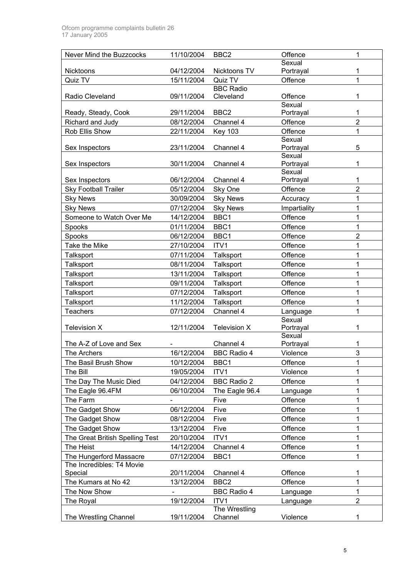| Never Mind the Buzzcocks             | 11/10/2004               | BBC <sub>2</sub>   | Offence             | 1              |
|--------------------------------------|--------------------------|--------------------|---------------------|----------------|
|                                      |                          |                    | Sexual              |                |
| Nicktoons                            | 04/12/2004               | Nicktoons TV       | Portrayal           | 1              |
| Quiz TV                              | 15/11/2004               | Quiz TV            | Offence             | $\mathbf{1}$   |
|                                      |                          | <b>BBC Radio</b>   |                     |                |
| Radio Cleveland                      | 09/11/2004               | Cleveland          | Offence<br>Sexual   | 1              |
| Ready, Steady, Cook                  | 29/11/2004               | BBC <sub>2</sub>   | Portrayal           | 1              |
| Richard and Judy                     | 08/12/2004               | Channel 4          | Offence             | $\overline{2}$ |
| Rob Ellis Show                       | 22/11/2004               | <b>Key 103</b>     | Offence             | 1              |
|                                      |                          |                    | Sexual              |                |
| Sex Inspectors                       | 23/11/2004               | Channel 4          | Portrayal           | 5              |
|                                      |                          |                    | Sexual              |                |
| Sex Inspectors                       | 30/11/2004               | Channel 4          | Portrayal           | 1              |
| Sex Inspectors                       | 06/12/2004               | Channel 4          | Sexual<br>Portrayal | 1              |
| <b>Sky Football Trailer</b>          | 05/12/2004               | Sky One            | Offence             | $\overline{2}$ |
| <b>Sky News</b>                      | 30/09/2004               | <b>Sky News</b>    | Accuracy            | 1              |
| <b>Sky News</b>                      | 07/12/2004               | <b>Sky News</b>    | Impartiality        | 1              |
| Someone to Watch Over Me             | 14/12/2004               | BBC1               | Offence             | 1              |
| Spooks                               | 01/11/2004               | BBC1               | Offence             | 1              |
| Spooks                               | 06/12/2004               | BBC1               | Offence             | $\overline{2}$ |
| Take the Mike                        | 27/10/2004               | ITV1               | Offence             | 1              |
| Talksport                            | 07/11/2004               | Talksport          | Offence             | 1              |
| Talksport                            | 08/11/2004               | Talksport          | Offence             | 1              |
| Talksport                            | 13/11/2004               | Talksport          | Offence             | 1              |
| Talksport                            | 09/11/2004               | Talksport          | Offence             | 1              |
| <b>Talksport</b>                     | 07/12/2004               | Talksport          | Offence             | 1              |
| Talksport                            | 11/12/2004               | Talksport          | Offence             | 1              |
| <b>Teachers</b>                      | 07/12/2004               | Channel 4          | Language            | $\mathbf{1}$   |
|                                      |                          |                    | Sexual              |                |
| Television X                         | 12/11/2004               | Television X       | Portrayal           | 1              |
|                                      |                          |                    | Sexual              |                |
| The A-Z of Love and Sex              |                          | Channel 4          | Portrayal           | 1              |
| The Archers                          | 16/12/2004               | <b>BBC Radio 4</b> | Violence            | 3              |
| The Basil Brush Show                 | 10/12/2004               | BBC1               | Offence             | 1              |
| The Bill                             | 19/05/2004               | ITV1               | Violence            | 1              |
| The Day The Music Died               | 04/12/2004               | <b>BBC Radio 2</b> | Offence             | 1              |
| The Eagle 96.4FM                     | 06/10/2004               | The Eagle 96.4     | Language            | 1              |
| The Farm                             |                          | Five               | Offence             | 1              |
| The Gadget Show                      | 06/12/2004               | Five               | Offence             | 1              |
| The Gadget Show                      | 08/12/2004               | Five               | Offence             | 1              |
| The Gadget Show                      | 13/12/2004               | Five               | Offence             | 1              |
| The Great British Spelling Test      | 20/10/2004               | ITV1               | Offence             | 1              |
| The Heist                            | 14/12/2004               | Channel 4          | Offence             | 1              |
| The Hungerford Massacre              | 07/12/2004               | BBC1               | Offence             | 1              |
| The Incredibles: T4 Movie<br>Special | 20/11/2004               | Channel 4          | Offence             | 1              |
| The Kumars at No 42                  | 13/12/2004               | BBC <sub>2</sub>   | Offence             | 1              |
| The Now Show                         | $\overline{\phantom{0}}$ | <b>BBC Radio 4</b> | Language            | 1              |
| The Royal                            | 19/12/2004               | ITV1               | Language            | $\overline{2}$ |
|                                      |                          | The Wrestling      |                     |                |
| The Wrestling Channel                | 19/11/2004               | Channel            | Violence            | 1              |